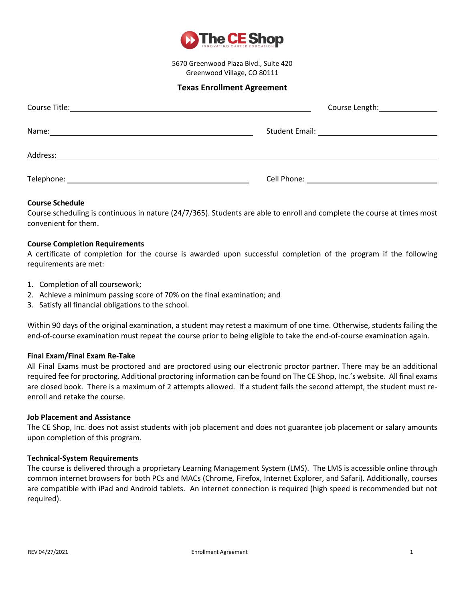

5670 Greenwood Plaza Blvd., Suite 420 Greenwood Village, CO 80111

# **Texas Enrollment Agreement**

|                                                                                                                | Course Length: \\square \\square Length:      |
|----------------------------------------------------------------------------------------------------------------|-----------------------------------------------|
| Name: 1990 - 1990 - 1990 - 1990 - 1991 - 1992 - 1993 - 1994 - 1994 - 1994 - 1995 - 1996 - 1997 - 1998 - 1999 - |                                               |
| Address:                                                                                                       |                                               |
|                                                                                                                | Cell Phone: <u>__________________________</u> |

### **Course Schedule**

Course scheduling is continuous in nature (24/7/365). Students are able to enroll and complete the course at times most convenient for them.

### **Course Completion Requirements**

A certificate of completion for the course is awarded upon successful completion of the program if the following requirements are met:

- 1. Completion of all coursework;
- 2. Achieve a minimum passing score of 70% on the final examination; and
- 3. Satisfy all financial obligations to the school.

Within 90 days of the original examination, a student may retest a maximum of one time. Otherwise, students failing the end-of-course examination must repeat the course prior to being eligible to take the end-of-course examination again.

#### **Final Exam/Final Exam Re-Take**

All Final Exams must be proctored and are proctored using our electronic proctor partner. There may be an additional required fee for proctoring. Additional proctoring information can be found on The CE Shop, Inc.'s website. All final exams are closed book. There is a maximum of 2 attempts allowed. If a student fails the second attempt, the student must reenroll and retake the course.

### **Job Placement and Assistance**

The CE Shop, Inc. does not assist students with job placement and does not guarantee job placement or salary amounts upon completion of this program.

### **Technical-System Requirements**

The course is delivered through a proprietary Learning Management System (LMS). The LMS is accessible online through common internet browsers for both PCs and MACs (Chrome, Firefox, Internet Explorer, and Safari). Additionally, courses are compatible with iPad and Android tablets. An internet connection is required (high speed is recommended but not required).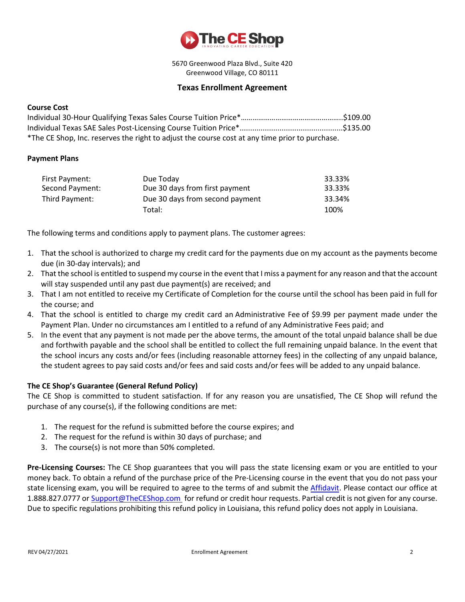

5670 Greenwood Plaza Blvd., Suite 420 Greenwood Village, CO 80111

# **Texas Enrollment Agreement**

### **Course Cost**

Individual 30-Hour Qualifying Texas Sales Course Tuition Price\*……………………………………………..\$109.00 Individual Texas SAE Sales Post-Licensing Course Tuition Price\*.................................................\$135.00 \*The CE Shop, Inc. reserves the right to adjust the course cost at any time prior to purchase.

## **Payment Plans**

| First Payment:  | Due Today                       | 33.33% |
|-----------------|---------------------------------|--------|
| Second Payment: | Due 30 days from first payment  | 33.33% |
| Third Payment:  | Due 30 days from second payment | 33.34% |
|                 | Total:                          | 100%   |

The following terms and conditions apply to payment plans. The customer agrees:

- 1. That the school is authorized to charge my credit card for the payments due on my account as the payments become due (in 30-day intervals); and
- 2. That the school is entitled to suspend my course in the event that I miss a payment for any reason and that the account will stay suspended until any past due payment(s) are received; and
- 3. That I am not entitled to receive my Certificate of Completion for the course until the school has been paid in full for the course; and
- 4. That the school is entitled to charge my credit card an Administrative Fee of \$9.99 per payment made under the Payment Plan. Under no circumstances am I entitled to a refund of any Administrative Fees paid; and
- 5. In the event that any payment is not made per the above terms, the amount of the total unpaid balance shall be due and forthwith payable and the school shall be entitled to collect the full remaining unpaid balance. In the event that the school incurs any costs and/or fees (including reasonable attorney fees) in the collecting of any unpaid balance, the student agrees to pay said costs and/or fees and said costs and/or fees will be added to any unpaid balance.

## **The CE Shop's Guarantee (General Refund Policy)**

The CE Shop is committed to student satisfaction. If for any reason you are unsatisfied, The CE Shop will refund the purchase of any course(s), if the following conditions are met:

- 1. The request for the refund is submitted before the course expires; and
- 2. The request for the refund is within 30 days of purchase; and
- 3. The course(s) is not more than 50% completed.

**Pre-Licensing Courses:** The CE Shop guarantees that you will pass the state licensing exam or you are entitled to your money back. To obtain a refund of the purchase price of the Pre-Licensing course in the event that you do not pass your state licensing exam, you will be required to agree to the terms of and submit the [Affidavit.](mailto:Affidavit) Please contact our office at 1.888.827.0777 or [Support@TheCEShop.com](mailto:support@theceshop.com) for refund or credit hour requests. Partial credit is not given for any course. Due to specific regulations prohibiting this refund policy in Louisiana, this refund policy does not apply in Louisiana.